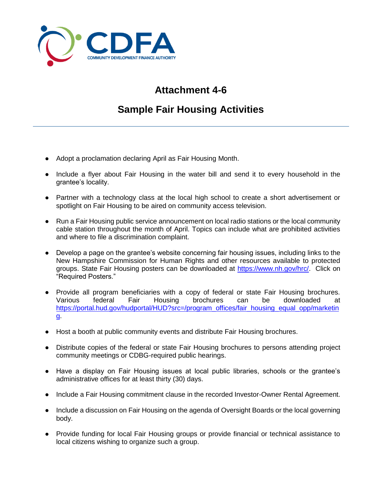

## **Attachment 4-6**

## **Sample Fair Housing Activities**

- Adopt a proclamation declaring April as Fair Housing Month.
- Include a flyer about Fair Housing in the water bill and send it to every household in the grantee's locality.
- Partner with a technology class at the local high school to create a short advertisement or spotlight on Fair Housing to be aired on community access television.
- Run a Fair Housing public service announcement on local radio stations or the local community cable station throughout the month of April. Topics can include what are prohibited activities and where to file a discrimination complaint.
- Develop a page on the grantee's website concerning fair housing issues, including links to the New Hampshire Commission for Human Rights and other resources available to protected groups. State Fair Housing posters can be downloaded at [https://www.nh.gov/hrc/.](https://www.nh.gov/hrc/) Click on "Required Posters."
- Provide all program beneficiaries with a copy of federal or state Fair Housing brochures. Various federal Fair Housing brochures can be downloaded at [https://portal.hud.gov/hudportal/HUD?src=/program\\_offices/fair\\_housing\\_equal\\_opp/marketin](https://portal.hud.gov/hudportal/HUD?src=/program_offices/fair_housing_equal_opp/marketing) [g.](https://portal.hud.gov/hudportal/HUD?src=/program_offices/fair_housing_equal_opp/marketing)
- Host a booth at public community events and distribute Fair Housing brochures.
- Distribute copies of the federal or state Fair Housing brochures to persons attending project community meetings or CDBG-required public hearings.
- Have a display on Fair Housing issues at local public libraries, schools or the grantee's administrative offices for at least thirty (30) days.
- Include a Fair Housing commitment clause in the recorded Investor-Owner Rental Agreement.
- Include a discussion on Fair Housing on the agenda of Oversight Boards or the local governing body.
- Provide funding for local Fair Housing groups or provide financial or technical assistance to local citizens wishing to organize such a group.